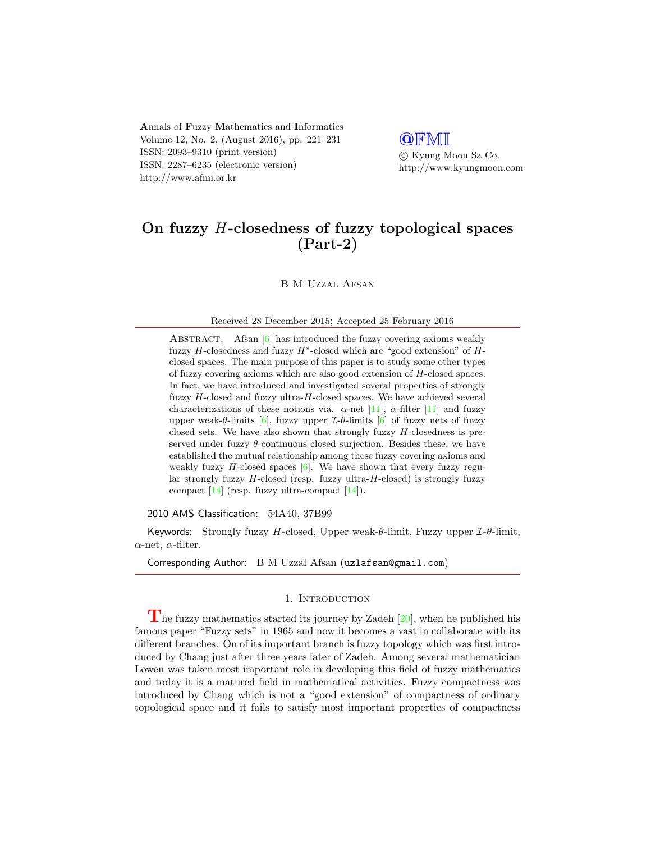Annals of Fuzzy Mathematics and Informatics Volume 12, No. 2, (August 2016), pp. 221–231 ISSN: 2093–9310 (print version) ISSN: 2287–6235 (electronic version) http://www.afmi.or.kr

# **QFMI**

 c Kyung Moon Sa Co. http://www.kyungmoon.com

# On fuzzy H-closedness of fuzzy topological spaces (Part-2)

B M Uzzal Afsan

Received 28 December 2015; Accepted 25 February 2016

ABSTRACT. Afsan [\[6\]](#page-9-0) has introduced the fuzzy covering axioms weakly fuzzy  $H$ -closedness and fuzzy  $H^*$ -closed which are "good extension" of  $H$ closed spaces. The main purpose of this paper is to study some other types of fuzzy covering axioms which are also good extension of H-closed spaces. In fact, we have introduced and investigated several properties of strongly fuzzy H-closed and fuzzy ultra-H-closed spaces. We have achieved several characterizations of these notions via.  $\alpha$ -net [\[11\]](#page-10-0),  $\alpha$ -filter [11] and fuzzy upper weak-θ-limits [\[6\]](#page-9-0), fuzzy upper  $\mathcal{I}\text{-}\theta$ -limits [6] of fuzzy nets of fuzzy closed sets. We have also shown that strongly fuzzy  $H$ -closedness is preserved under fuzzy  $\theta$ -continuous closed surjection. Besides these, we have established the mutual relationship among these fuzzy covering axioms and weakly fuzzy  $H$ -closed spaces  $[6]$ . We have shown that every fuzzy regular strongly fuzzy  $H$ -closed (resp. fuzzy ultra- $H$ -closed) is strongly fuzzy compact  $[14]$  (resp. fuzzy ultra-compact  $[14]$ ).

2010 AMS Classification: 54A40, 37B99

Keywords: Strongly fuzzy H-closed, Upper weak- $\theta$ -limit, Fuzzy upper  $\mathcal{I}\text{-}\theta$ -limit,  $\alpha$ -net,  $\alpha$ -filter.

Corresponding Author: B M Uzzal Afsan (uzlafsan@gmail.com)

### 1. INTRODUCTION

The fuzzy mathematics started its journey by Zadeh  $[20]$ , when he published his famous paper "Fuzzy sets" in 1965 and now it becomes a vast in collaborate with its different branches. On of its important branch is fuzzy topology which was first introduced by Chang just after three years later of Zadeh. Among several mathematician Lowen was taken most important role in developing this field of fuzzy mathematics and today it is a matured field in mathematical activities. Fuzzy compactness was introduced by Chang which is not a "good extension" of compactness of ordinary topological space and it fails to satisfy most important properties of compactness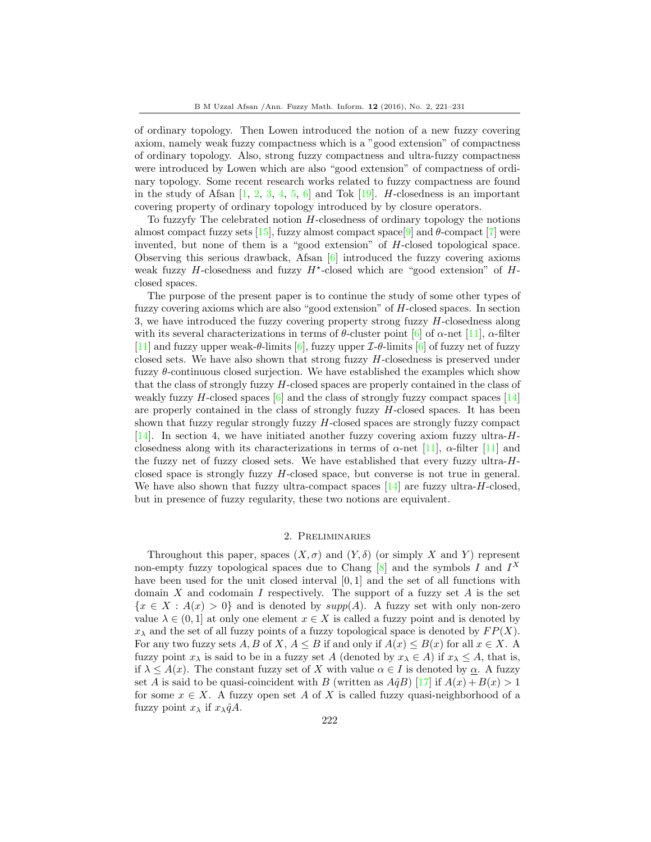of ordinary topology. Then Lowen introduced the notion of a new fuzzy covering axiom, namely weak fuzzy compactness which is a "good extension" of compactness of ordinary topology. Also, strong fuzzy compactness and ultra-fuzzy compactness were introduced by Lowen which are also "good extension" of compactness of ordinary topology. Some recent research works related to fuzzy compactness are found in the study of Afsan  $[1, 2, 3, 4, 5, 6]$  $[1, 2, 3, 4, 5, 6]$  $[1, 2, 3, 4, 5, 6]$  $[1, 2, 3, 4, 5, 6]$  $[1, 2, 3, 4, 5, 6]$  $[1, 2, 3, 4, 5, 6]$  $[1, 2, 3, 4, 5, 6]$  $[1, 2, 3, 4, 5, 6]$  $[1, 2, 3, 4, 5, 6]$  $[1, 2, 3, 4, 5, 6]$  $[1, 2, 3, 4, 5, 6]$  and Tok  $[19]$ . H-closedness is an important covering property of ordinary topology introduced by by closure operators.

To fuzzyfy The celebrated notion H-closedness of ordinary topology the notions almost compact fuzzy sets [\[15\]](#page-10-4), fuzzy almost compact space[\[9\]](#page-10-5) and  $\theta$ -compact [\[7\]](#page-9-6) were invented, but none of them is a "good extension" of H-closed topological space. Observing this serious drawback, Afsan  $[6]$  introduced the fuzzy covering axioms weak fuzzy  $H$ -closedness and fuzzy  $H^*$ -closed which are "good extension" of  $H$ closed spaces.

The purpose of the present paper is to continue the study of some other types of fuzzy covering axioms which are also "good extension" of H-closed spaces. In section 3, we have introduced the fuzzy covering property strong fuzzy H-closedness along with its several characterizations in terms of  $\theta$ -cluster point [\[6\]](#page-9-0) of  $\alpha$ -net [\[11\]](#page-10-0),  $\alpha$ -filter [\[11\]](#page-10-0) and fuzzy upper weak- $\theta$ -limits [\[6\]](#page-9-0), fuzzy upper  $\mathcal{I}\text{-}\theta$ -limits [6] of fuzzy net of fuzzy closed sets. We have also shown that strong fuzzy H-closedness is preserved under fuzzy  $\theta$ -continuous closed surjection. We have established the examples which show that the class of strongly fuzzy H-closed spaces are properly contained in the class of weakly fuzzy H-closed spaces  $[6]$  and the class of strongly fuzzy compact spaces  $[14]$ are properly contained in the class of strongly fuzzy  $H$ -closed spaces. It has been shown that fuzzy regular strongly fuzzy  $H$ -closed spaces are strongly fuzzy compact [\[14\]](#page-10-1). In section 4, we have initiated another fuzzy covering axiom fuzzy ultra-Hclosedness along with its characterizations in terms of  $\alpha$ -net [\[11\]](#page-10-0),  $\alpha$ -filter [11] and the fuzzy net of fuzzy closed sets. We have established that every fuzzy ultra- $H$ closed space is strongly fuzzy H-closed space, but converse is not true in general. We have also shown that fuzzy ultra-compact spaces  $[14]$  are fuzzy ultra-H-closed, but in presence of fuzzy regularity, these two notions are equivalent.

## 2. Preliminaries

Throughout this paper, spaces  $(X, \sigma)$  and  $(Y, \delta)$  (or simply X and Y) represent non-empty fuzzy topological spaces due to Chang  $[8]$  and the symbols I and  $I^X$ have been used for the unit closed interval [0, 1] and the set of all functions with domain X and codomain I respectively. The support of a fuzzy set  $A$  is the set  ${x \in X : A(x) > 0}$  and is denoted by  $supp(A)$ . A fuzzy set with only non-zero value  $\lambda \in (0,1]$  at only one element  $x \in X$  is called a fuzzy point and is denoted by  $x_{\lambda}$  and the set of all fuzzy points of a fuzzy topological space is denoted by  $FP(X)$ . For any two fuzzy sets A, B of X,  $A \leq B$  if and only if  $A(x) \leq B(x)$  for all  $x \in X$ . A fuzzy point  $x_\lambda$  is said to be in a fuzzy set A (denoted by  $x_\lambda \in A$ ) if  $x_\lambda \leq A$ , that is, if  $\lambda \leq A(x)$ . The constant fuzzy set of X with value  $\alpha \in I$  is denoted by  $\alpha$ . A fuzzy set A is said to be quasi-coincident with B (written as  $A\hat{q}B$ ) [\[17\]](#page-10-6) if  $A(x) + B(x) > 1$ for some  $x \in X$ . A fuzzy open set A of X is called fuzzy quasi-neighborhood of a fuzzy point  $x_{\lambda}$  if  $x_{\lambda} q A$ .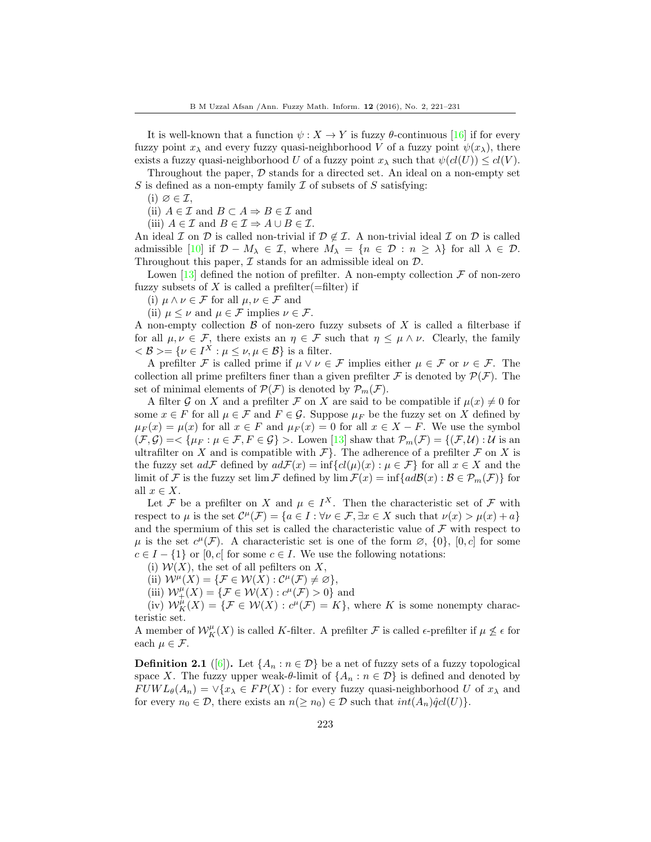It is well-known that a function  $\psi: X \to Y$  is fuzzy  $\theta$ -continuous [\[16\]](#page-10-7) if for every fuzzy point  $x_{\lambda}$  and every fuzzy quasi-neighborhood V of a fuzzy point  $\psi(x_{\lambda})$ , there exists a fuzzy quasi-neighborhood U of a fuzzy point  $x_{\lambda}$  such that  $\psi(cl(U)) \leq cl(V)$ .

Throughout the paper,  $\mathcal D$  stands for a directed set. An ideal on a non-empty set S is defined as a non-empty family  $\mathcal I$  of subsets of  $S$  satisfying:

 $(i) \varnothing \in \mathcal{I}$ ,

(ii)  $A \in \mathcal{I}$  and  $B \subset A \Rightarrow B \in \mathcal{I}$  and

(iii)  $A \in \mathcal{I}$  and  $B \in \mathcal{I} \Rightarrow A \cup B \in \mathcal{I}$ .

An ideal I on D is called non-trivial if  $\mathcal{D} \notin \mathcal{I}$ . A non-trivial ideal I on D is called admissible [\[10\]](#page-10-8) if  $\mathcal{D} - M_{\lambda} \in \mathcal{I}$ , where  $M_{\lambda} = \{n \in \mathcal{D} : n \geq \lambda\}$  for all  $\lambda \in \mathcal{D}$ . Throughout this paper,  $\mathcal I$  stands for an admissible ideal on  $\mathcal D$ .

Lowen [\[13\]](#page-10-9) defined the notion of prefilter. A non-empty collection  $\mathcal F$  of non-zero fuzzy subsets of X is called a prefilter(=filter) if

(i)  $\mu \wedge \nu \in \mathcal{F}$  for all  $\mu, \nu \in \mathcal{F}$  and

(ii)  $\mu \leq \nu$  and  $\mu \in \mathcal{F}$  implies  $\nu \in \mathcal{F}$ .

A non-empty collection  $\beta$  of non-zero fuzzy subsets of X is called a filterbase if for all  $\mu, \nu \in \mathcal{F}$ , there exists an  $\eta \in \mathcal{F}$  such that  $\eta \leq \mu \wedge \nu$ . Clearly, the family  $\langle \mathcal{B} \rangle = \{ \nu \in I^X : \mu \leq \nu, \mu \in \mathcal{B} \}$  is a filter.

A prefilter F is called prime if  $\mu \vee \nu \in \mathcal{F}$  implies either  $\mu \in \mathcal{F}$  or  $\nu \in \mathcal{F}$ . The collection all prime prefilters finer than a given prefilter F is denoted by  $\mathcal{P}(\mathcal{F})$ . The set of minimal elements of  $\mathcal{P}(\mathcal{F})$  is denoted by  $\mathcal{P}_m(\mathcal{F})$ .

A filter G on X and a prefilter F on X are said to be compatible if  $\mu(x) \neq 0$  for some  $x \in F$  for all  $\mu \in \mathcal{F}$  and  $F \in \mathcal{G}$ . Suppose  $\mu_F$  be the fuzzy set on X defined by  $\mu_F(x) = \mu(x)$  for all  $x \in F$  and  $\mu_F(x) = 0$  for all  $x \in X - F$ . We use the symbol  $(\mathcal{F}, \mathcal{G}) = \{ \mu_F : \mu \in \mathcal{F}, F \in \mathcal{G} \}$ . Lowen [\[13\]](#page-10-9) shaw that  $\mathcal{P}_m(\mathcal{F}) = \{ (\mathcal{F}, \mathcal{U}) : \mathcal{U} \text{ is an }$ ultrafilter on X and is compatible with  $\mathcal{F}\}$ . The adherence of a prefilter  $\mathcal F$  on X is the fuzzy set  $ad\mathcal{F}$  defined by  $ad\mathcal{F}(x) = \inf \{ cl(\mu)(x) : \mu \in \mathcal{F} \}$  for all  $x \in X$  and the limit of F is the fuzzy set lim F defined by  $\lim \mathcal{F}(x) = \inf \{ad\mathcal{B}(x) : \mathcal{B} \in \mathcal{P}_m(\mathcal{F})\}$  for all  $x \in X$ .

Let F be a prefilter on X and  $\mu \in I^X$ . Then the characteristic set of F with respect to  $\mu$  is the set  $\mathcal{C}^{\mu}(\mathcal{F}) = \{a \in I : \forall \nu \in \mathcal{F}, \exists x \in X \text{ such that } \nu(x) > \mu(x) + a\}$ and the spermium of this set is called the characteristic value of  $\mathcal F$  with respect to  $\mu$  is the set  $c^{\mu}(\mathcal{F})$ . A characteristic set is one of the form  $\varnothing$ ,  $\{0\}$ ,  $[0, c]$  for some  $c \in I - \{1\}$  or  $[0, c]$  for some  $c \in I$ . We use the following notations:

(i)  $W(X)$ , the set of all pefilters on X,

(ii)  $\mathcal{W}^{\mu}(X) = \{ \mathcal{F} \in \mathcal{W}(X) : \mathcal{C}^{\mu}(\mathcal{F}) \neq \varnothing \},\$ 

(iii)  $\mathcal{W}^{\mu}_+(X) = \{ \mathcal{F} \in \mathcal{W}(X) : c^{\mu}(\mathcal{F}) > 0 \}$  and

(iv)  $\mathcal{W}_K^{\mu}(X) = \{ \mathcal{F} \in \mathcal{W}(X) : c^{\mu}(\mathcal{F}) = K \}$ , where K is some nonempty characteristic set.

A member of  $\mathcal{W}_K^{\mu}(X)$  is called K-filter. A prefilter  $\mathcal F$  is called  $\epsilon$ -prefilter if  $\mu \not\leq \epsilon$  for each  $\mu \in \mathcal{F}$ .

**Definition 2.1** ([\[6\]](#page-9-0)). Let  $\{A_n : n \in \mathcal{D}\}\$  be a net of fuzzy sets of a fuzzy topological space X. The fuzzy upper weak- $\theta$ -limit of  $\{A_n : n \in \mathcal{D}\}\$ is defined and denoted by  $FUWL_{\theta}(A_n) = \vee \{x_{\lambda} \in FP(X) : \text{for every fuzzy quasi-neighborhood } U \text{ of } x_{\lambda} \text{ and }$ for every  $n_0 \in \mathcal{D}$ , there exists an  $n(\geq n_0) \in \mathcal{D}$  such that  $int(A_n)\hat{q}cl(U)$ .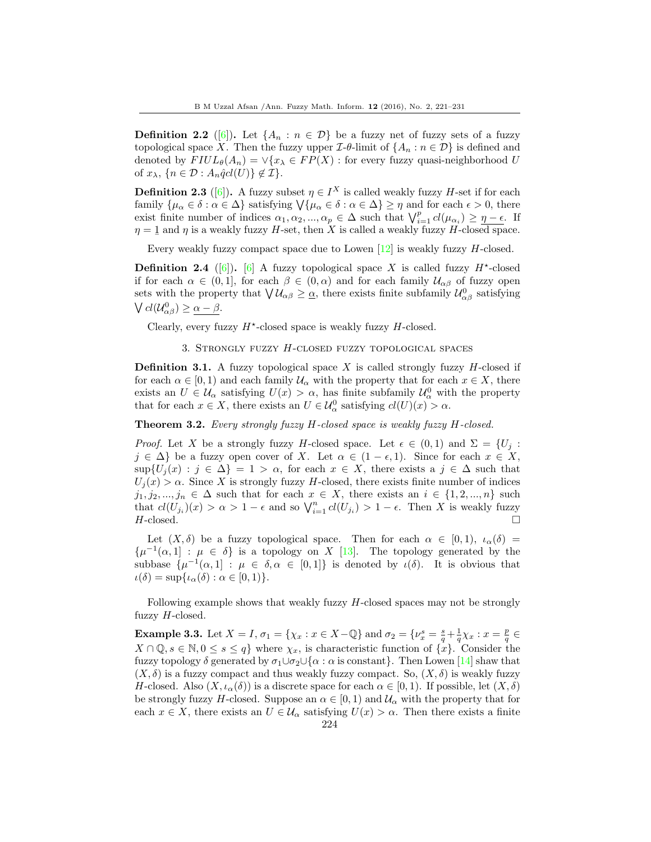**Definition 2.2** ([\[6\]](#page-9-0)). Let  $\{A_n : n \in \mathcal{D}\}\$ be a fuzzy net of fuzzy sets of a fuzzy topological space X. Then the fuzzy upper  $\mathcal{I}\text{-}\theta$ -limit of  $\{A_n : n \in \mathcal{D}\}\$  is defined and denoted by  $FlUL_{\theta}(A_n) = \vee \{x_{\lambda} \in FP(X) : \text{for every fuzzy quasi-neighborhood } U$ of  $x_{\lambda}$ ,  $\{n \in \mathcal{D} : A_n \hat{q}cl(U)\} \notin \mathcal{I}\}.$ 

**Definition 2.3** ([\[6\]](#page-9-0)). A fuzzy subset  $\eta \in I^X$  is called weakly fuzzy H-set if for each family  $\{\mu_{\alpha} \in \delta : \alpha \in \Delta\}$  satisfying  $\forall \{\mu_{\alpha} \in \delta : \alpha \in \Delta\} \geq \eta$  and for each  $\epsilon > 0$ , there exist finite number of indices  $\alpha_1, \alpha_2, ..., \alpha_p \in \Delta$  such that  $\bigvee_{i=1}^p cl(\mu_{\alpha_i}) \geq \eta - \epsilon$ . If  $\eta = 1$  and  $\eta$  is a weakly fuzzy H-set, then X is called a weakly fuzzy H-closed space.

Every weakly fuzzy compact space due to Lowen [\[12\]](#page-10-10) is weakly fuzzy H-closed.

**Definition 2.4** ([\[6\]](#page-9-0)). [6] A fuzzy topological space X is called fuzzy  $H^*$ -closed if for each  $\alpha \in (0,1]$ , for each  $\beta \in (0,\alpha)$  and for each family  $\mathcal{U}_{\alpha\beta}$  of fuzzy open sets with the property that  $\bigvee \mathcal{U}_{\alpha\beta} \geq \underline{\alpha}$ , there exists finite subfamily  $\mathcal{U}^0_{\alpha\beta}$  satisfying  $\bigvee cl(\mathcal{U}_{\alpha\beta}^{0}) \geq \underline{\alpha-\beta}.$ 

Clearly, every fuzzy  $H^*$ -closed space is weakly fuzzy  $H$ -closed.

3. Strongly fuzzy H-closed fuzzy topological spaces

**Definition 3.1.** A fuzzy topological space X is called strongly fuzzy  $H$ -closed if for each  $\alpha \in [0,1)$  and each family  $\mathcal{U}_{\alpha}$  with the property that for each  $x \in X$ , there exists an  $U \in \mathcal{U}_{\alpha}$  satisfying  $U(x) > \alpha$ , has finite subfamily  $\mathcal{U}_{\alpha}^0$  with the property that for each  $x \in X$ , there exists an  $U \in \mathcal{U}_{\alpha}^0$  satisfying  $cl(U)(x) > \alpha$ .

<span id="page-3-0"></span>Theorem 3.2. Every strongly fuzzy H-closed space is weakly fuzzy H-closed.

*Proof.* Let X be a strongly fuzzy H-closed space. Let  $\epsilon \in (0,1)$  and  $\Sigma = \{U_j :$  $j \in \Delta$  be a fuzzy open cover of X. Let  $\alpha \in (1 - \epsilon, 1)$ . Since for each  $x \in X$ ,  $\sup\{U_j(x):j\in\Delta\}=1>\alpha$ , for each  $x\in X$ , there exists a  $j\in\Delta$  such that  $U_j(x) > \alpha$ . Since X is strongly fuzzy H-closed, there exists finite number of indices  $j_1, j_2, ..., j_n \in \Delta$  such that for each  $x \in X$ , there exists an  $i \in \{1, 2, ..., n\}$  such that  $cl(U_{j_i})(x) > \alpha > 1 - \epsilon$  and so  $\bigvee_{i=1}^n cl(U_{j_i}) > 1 - \epsilon$ . Then X is weakly fuzzy  $H$ -closed.

Let  $(X, \delta)$  be a fuzzy topological space. Then for each  $\alpha \in [0, 1)$ ,  $\iota_{\alpha}(\delta) =$  $\{\mu^{-1}(\alpha,1] : \mu \in \delta\}$  is a topology on X [\[13\]](#page-10-9). The topology generated by the subbase  $\{\mu^{-1}(\alpha,1]: \mu \in \delta, \alpha \in [0,1]\}$  is denoted by  $\iota(\delta)$ . It is obvious that  $\iota(\delta) = \sup \{ \iota_\alpha(\delta) : \alpha \in [0,1) \}.$ 

Following example shows that weakly fuzzy  $H$ -closed spaces may not be strongly fuzzy  $H$ -closed.

**Example 3.3.** Let  $X = I$ ,  $\sigma_1 = \{\chi_x : x \in X - \mathbb{Q}\}\$  and  $\sigma_2 = \{\nu_x^s = \frac{s}{q} + \frac{1}{q}\chi_x : x = \frac{p}{q} \in I\}$  $X \cap \mathbb{Q}, s \in \mathbb{N}, 0 \leq s \leq q$  where  $\chi_x$ , is characteristic function of  $\{\hat{x}\}\)$ . Consider the fuzzy topology  $\delta$  generated by  $\sigma_1 \cup \sigma_2 \cup {\alpha : \alpha \text{ is constant}}$ . Then Lowen [\[14\]](#page-10-1) shaw that  $(X, \delta)$  is a fuzzy compact and thus weakly fuzzy compact. So,  $(X, \delta)$  is weakly fuzzy H-closed. Also  $(X, \iota_{\alpha}(\delta))$  is a discrete space for each  $\alpha \in [0,1)$ . If possible, let  $(X, \delta)$ be strongly fuzzy H-closed. Suppose an  $\alpha \in [0,1)$  and  $\mathcal{U}_{\alpha}$  with the property that for each  $x \in X$ , there exists an  $U \in \mathcal{U}_{\alpha}$  satisfying  $U(x) > \alpha$ . Then there exists a finite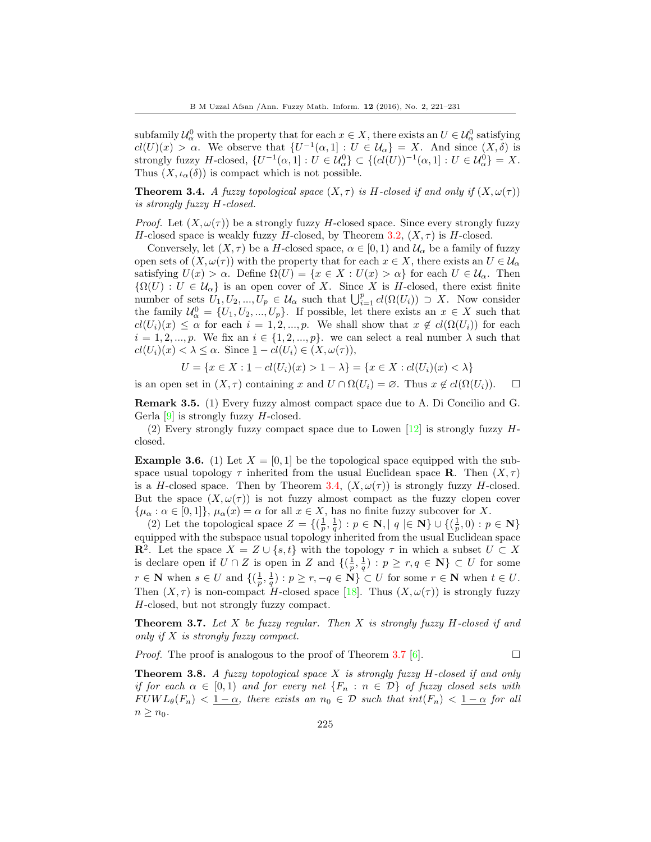subfamily  $\mathcal{U}^0_\alpha$  with the property that for each  $x \in X$ , there exists an  $U \in \mathcal{U}^0_\alpha$  satisfying  $cl(U)(x) > \alpha$ . We observe that  $\{U^{-1}(\alpha, 1] : U \in \mathcal{U}_{\alpha}\}=X$ . And since  $(X, \delta)$  is strongly fuzzy H-closed,  $\{U^{-1}(\alpha, 1]: U \in \mathcal{U}_{\alpha}^0\} \subset \{(cl(U))^{-1}(\alpha, 1]: U \in \mathcal{U}_{\alpha}^0\} = X.$ Thus  $(X, \iota_{\alpha}(\delta))$  is compact which is not possible.

<span id="page-4-0"></span>**Theorem 3.4.** A fuzzy topological space  $(X, \tau)$  is H-closed if and only if  $(X, \omega(\tau))$ is strongly fuzzy H-closed.

*Proof.* Let  $(X, \omega(\tau))$  be a strongly fuzzy H-closed space. Since every strongly fuzzy H-closed space is weakly fuzzy H-closed, by Theorem [3.2,](#page-3-0)  $(X, \tau)$  is H-closed.

Conversely, let  $(X, \tau)$  be a H-closed space,  $\alpha \in [0, 1)$  and  $\mathcal{U}_{\alpha}$  be a family of fuzzy open sets of  $(X, \omega(\tau))$  with the property that for each  $x \in X$ , there exists an  $U \in \mathcal{U}_{\alpha}$ satisfying  $U(x) > \alpha$ . Define  $\Omega(U) = \{x \in X : U(x) > \alpha\}$  for each  $U \in \mathcal{U}_{\alpha}$ . Then  ${\Omega(U): U \in \mathcal{U}_{\alpha}}$  is an open cover of X. Since X is H-closed, there exist finite number of sets  $U_1, U_2, ..., U_p \in \mathcal{U}_{\alpha}$  such that  $\bigcup_{i=1}^p cl(\Omega(U_i)) \supset X$ . Now consider the family  $\mathcal{U}^0_\alpha = \{U_1, U_2, ..., U_p\}$ . If possible, let there exists an  $x \in X$  such that  $cl(U_i)(x) \leq \alpha$  for each  $i = 1, 2, ..., p$ . We shall show that  $x \notin cl(\Omega(U_i))$  for each  $i = 1, 2, ..., p$ . We fix an  $i \in \{1, 2, ..., p\}$ . we can select a real number  $\lambda$  such that  $cl(U_i)(x) < \lambda \leq \alpha$ . Since  $1-cl(U_i) \in (X, \omega(\tau)),$ 

$$
U = \{ x \in X : \underline{1} - cl(U_i)(x) > 1 - \lambda \} = \{ x \in X : cl(U_i)(x) < \lambda \}
$$

is an open set in  $(X, \tau)$  containing x and  $U \cap \Omega(U_i) = \emptyset$ . Thus  $x \notin cl(\Omega(U_i))$ .  $\Box$ 

<span id="page-4-1"></span>Remark 3.5. (1) Every fuzzy almost compact space due to A. Di Concilio and G. Gerla  $[9]$  is strongly fuzzy H-closed.

(2) Every strongly fuzzy compact space due to Lowen  $[12]$  is strongly fuzzy Hclosed.

**Example 3.6.** (1) Let  $X = [0, 1]$  be the topological space equipped with the subspace usual topology  $\tau$  inherited from the usual Euclidean space **R**. Then  $(X, \tau)$ is a H-closed space. Then by Theorem [3.4,](#page-4-0)  $(X, \omega(\tau))$  is strongly fuzzy H-closed. But the space  $(X, \omega(\tau))$  is not fuzzy almost compact as the fuzzy clopen cover  ${\mu_\alpha : \alpha \in [0,1]}, \mu_\alpha(x) = \alpha$  for all  $x \in X$ , has no finite fuzzy subcover for X.

(2) Let the topological space  $Z = \{(\frac{1}{p}, \frac{1}{q}) : p \in \mathbb{N}, |q| \in \mathbb{N}\} \cup \{(\frac{1}{p}, 0) : p \in \mathbb{N}\}\$ equipped with the subspace usual topology inherited from the usual Euclidean space **R**<sup>2</sup>. Let the space  $X = Z \cup \{s, t\}$  with the topology  $\tau$  in which a subset  $U \subset X$ is declare open if  $U \cap Z$  is open in Z and  $\{(\frac{1}{p},\frac{1}{q}) : p \geq r, q \in \mathbb{N}\}\subset U$  for some  $r \in \mathbf{N}$  when  $s \in U$  and  $\{(\frac{1}{p}, \frac{1}{q}) : p \geq r, -q \in \mathbf{N}\} \subset U$  for some  $r \in \mathbf{N}$  when  $t \in U$ . Then  $(X, \tau)$  is non-compact H-closed space [\[18\]](#page-10-11). Thus  $(X, \omega(\tau))$  is strongly fuzzy H-closed, but not strongly fuzzy compact.

**Theorem 3.7.** Let  $X$  be fuzzy regular. Then  $X$  is strongly fuzzy  $H$ -closed if and only if  $X$  is strongly fuzzy compact.

*Proof.* The proof is analogous to the proof of Theorem 3.7 [\[6\]](#page-9-0).

**Theorem 3.8.** A fuzzy topological space  $X$  is strongly fuzzy  $H$ -closed if and only if for each  $\alpha \in [0,1)$  and for every net  $\{F_n : n \in \mathcal{D}\}\$  of fuzzy closed sets with  $FUWL_{\theta}(F_n) < 1-\alpha$ , there exists an  $n_0 \in \mathcal{D}$  such that  $int(F_n) < 1-\alpha$  for all  $n \geq n_0$ .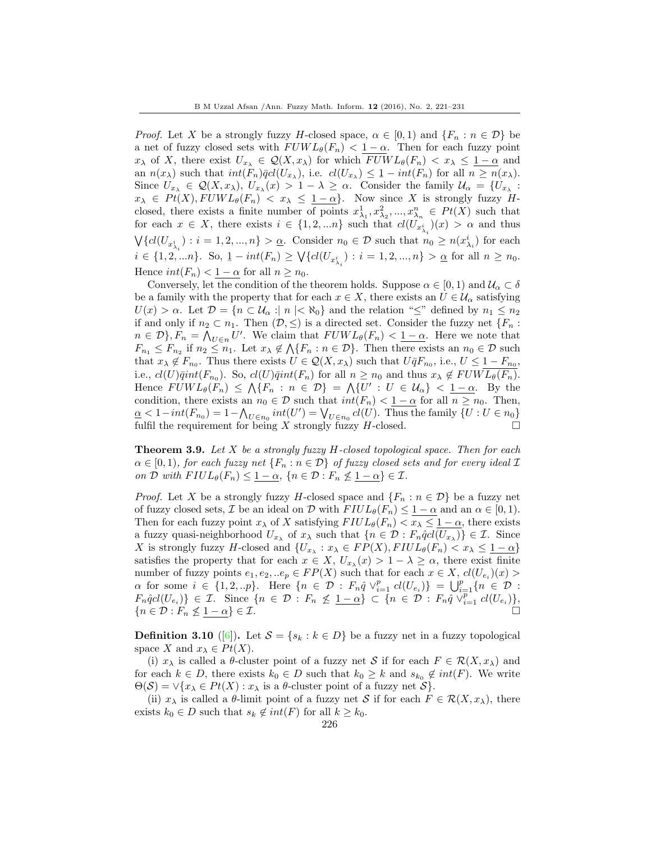*Proof.* Let X be a strongly fuzzy H-closed space,  $\alpha \in [0,1)$  and  $\{F_n : n \in \mathcal{D}\}\$  be a net of fuzzy closed sets with  $FUWL_{\theta}(F_n) < 1-\alpha$ . Then for each fuzzy point  $x_{\lambda}$  of X, there exist  $U_{x_{\lambda}} \in \mathcal{Q}(X, x_{\lambda})$  for which  $FUWL_{\theta}(F_n) < x_{\lambda} \leq 1-\alpha$  and an  $n(x_\lambda)$  such that  $int(F_n)\overline{q}cl(U_{x_\lambda})$ , i.e.  $cl(U_{x_\lambda}) \leq \underline{1} - int(F_n)$  for all  $n \geq n(x_\lambda)$ . Since  $U_{x_{\lambda}} \in \mathcal{Q}(X, x_{\lambda}), U_{x_{\lambda}}(x) > 1 - \lambda \geq \alpha$ . Consider the family  $\mathcal{U}_{\alpha} = \{U_{x_{\lambda}} :$  $x_{\lambda} \in Pt(X), FUWL_{\theta}(F_n) < x_{\lambda} \leq \underline{1-\alpha}$ . Now since X is strongly fuzzy Hclosed, there exists a finite number of points  $x_{\lambda_1}^1, x_{\lambda_2}^2, ..., x_{\lambda_n}^n \in Pt(X)$  such that for each  $x \in X$ , there exists  $i \in \{1, 2, \ldots n\}$  such that  $cl(U_{x_{\lambda_i}^i})(x) > \alpha$  and thus  $\bigvee \{ cl(U_{x_{\lambda_i}^i}) : i = 1, 2, ..., n \} > \underline{\alpha}$ . Consider  $n_0 \in \mathcal{D}$  such that  $n_0 \geq n(x_{\lambda_i}^i)$  for each  $i \in \{1, 2, ..., n\}.$  So,  $1 - int(F_n) \geq \bigvee \{ cl(U_{x_{\lambda_i}^i}) : i = 1, 2, ..., n \} > \underline{\alpha}$  for all  $n \geq n_0$ . Hence  $int(F_n) < 1 - \alpha$  for all  $n \geq n_0$ .

Conversely, let the condition of the theorem holds. Suppose  $\alpha \in [0, 1)$  and  $\mathcal{U}_{\alpha} \subset \delta$ be a family with the property that for each  $x \in X$ , there exists an  $U \in \mathcal{U}_{\alpha}$  satisfying  $U(x) > \alpha$ . Let  $\mathcal{D} = \{n \in \mathcal{U}_{\alpha} : |n| < \aleph_0\}$  and the relation " $\leq$ " defined by  $n_1 \leq n_2$ if and only if  $n_2 \subset n_1$ . Then  $(\mathcal{D}, \leq)$  is a directed set. Consider the fuzzy net  $\{F_n :$  $n \in \mathcal{D}$ ,  $F_n = \bigwedge_{U \in n} U'$ . We claim that  $FUWL_{\theta}(F_n) < \underline{1-\alpha}$ . Here we note that  $F_{n_1} \leq F_{n_2}$  if  $n_2 \leq n_1$ . Let  $x_{\lambda} \notin \mathcal{N}\{F_n : n \in \mathcal{D}\}$ . Then there exists an  $n_0 \in \mathcal{D}$  such that  $x_{\lambda} \notin F_{n_0}$ . Thus there exists  $U \in \mathcal{Q}(X, x_{\lambda})$  such that  $U \bar{q} F_{n_0}$ , i.e.,  $U \leq 1 - F_{n_0}$ , i.e.,  $cl(U)\overline{q}int(F_{n_0})$ . So,  $cl(U)\overline{q}int(F_n)$  for all  $n \geq n_0$  and thus  $x_\lambda \notin FUWL_{\theta}(F_n)$ . Hence  $FUWL_{\theta}(F_n) \leq \Lambda \{F_n : n \in \mathcal{D}\} = \Lambda \{U' : U \in \mathcal{U}_{\alpha}\} < 1-\alpha$ . By the condition, there exists an  $n_0 \in \mathcal{D}$  such that  $int(F_n) < 1 - \alpha$  for all  $n \geq n_0$ . Then,  $\underline{\alpha} < 1-int(F_{n_0}) = 1 - \bigwedge_{U \in n_0} int(U') = \bigvee_{U \in n_0} cl(U)$ . Thus the family  $\{U : U \in n_0\}$ fulfil the requirement for being X strongly fuzzy  $H$ -closed.

**Theorem 3.9.** Let  $X$  be a strongly fuzzy  $H$ -closed topological space. Then for each  $\alpha \in [0,1)$ , for each fuzzy net  $\{F_n : n \in \mathcal{D}\}\$  of fuzzy closed sets and for every ideal  $\mathcal{I}$ on D with  $FIUL_{\theta}(F_n) \leq \underline{1-\alpha}$ ,  $\{n \in \mathcal{D} : F_n \nleq \underline{1-\alpha} \} \in \mathcal{I}$ .

*Proof.* Let X be a strongly fuzzy H-closed space and  $\{F_n : n \in \mathcal{D}\}\$  be a fuzzy net of fuzzy closed sets,  $\mathcal I$  be an ideal on  $\mathcal D$  with  $FlUL_{\theta}(F_n) \leq 1 - \alpha$  and an  $\alpha \in [0,1)$ . Then for each fuzzy point  $x_\lambda$  of X satisfying  $FlUL_\theta(F_n) < x_\lambda \leq 1 - \alpha$ , there exists a fuzzy quasi-neighborhood  $U_{x_{\lambda}}$  of  $x_{\lambda}$  such that  $\{n \in \mathcal{D} : F_n \hat{q}cl(U_{x_{\lambda}})\}\in \mathcal{I}$ . Since X is strongly fuzzy H-closed and  $\{U_{x_\lambda}: x_\lambda \in FP(X), FIUL_{\theta}(F_n) < x_\lambda \leq \underline{1-\alpha}\}$ satisfies the property that for each  $x \in X$ ,  $U_{x_{\lambda}}(x) > 1 - \lambda \geq \alpha$ , there exist finite number of fuzzy points  $e_1, e_2, \ldots e_p \in FP(X)$  such that for each  $x \in X$ ,  $cl(U_{e_i})(x) >$  $\alpha$  for some  $i \in \{1, 2, \ldots p\}$ . Here  $\{n \in \mathcal{D} : F_n \hat{q} \vee_{i=1}^p cl(U_{e_i})\} = \bigcup_{i=1}^p \{n \in \mathcal{D} :$  $F_n\hat{q}cl(U_{e_i})\}\in\mathcal{I}$ . Since  $\{n \in \mathcal{D} : F_n \nleq \underline{1-\alpha}\}\subset \{n \in \mathcal{D} : F_n\hat{q} \vee_{i=1}^{\overline{p}} cl(U_{e_i})\},\$  ${n \in \mathcal{D} : F_n \nleq 1-\alpha} \in \mathcal{I}.$ 

**Definition 3.10** ([\[6\]](#page-9-0)). Let  $S = \{s_k : k \in D\}$  be a fuzzy net in a fuzzy topological space X and  $x_{\lambda} \in Pt(X)$ .

(i)  $x_{\lambda}$  is called a  $\theta$ -cluster point of a fuzzy net S if for each  $F \in \mathcal{R}(X, x_{\lambda})$  and for each  $k \in D$ , there exists  $k_0 \in D$  such that  $k_0 \geq k$  and  $s_{k_0} \notin int(F)$ . We write  $\Theta(\mathcal{S}) = \vee \{x_{\lambda} \in Pt(X) : x_{\lambda} \text{ is a } \theta \text{-cluster point of a fuzzy net } \mathcal{S}\}.$ 

(ii)  $x_{\lambda}$  is called a  $\theta$ -limit point of a fuzzy net S if for each  $F \in \mathcal{R}(X, x_{\lambda})$ , there exists  $k_0 \in D$  such that  $s_k \notin int(F)$  for all  $k \geq k_0$ .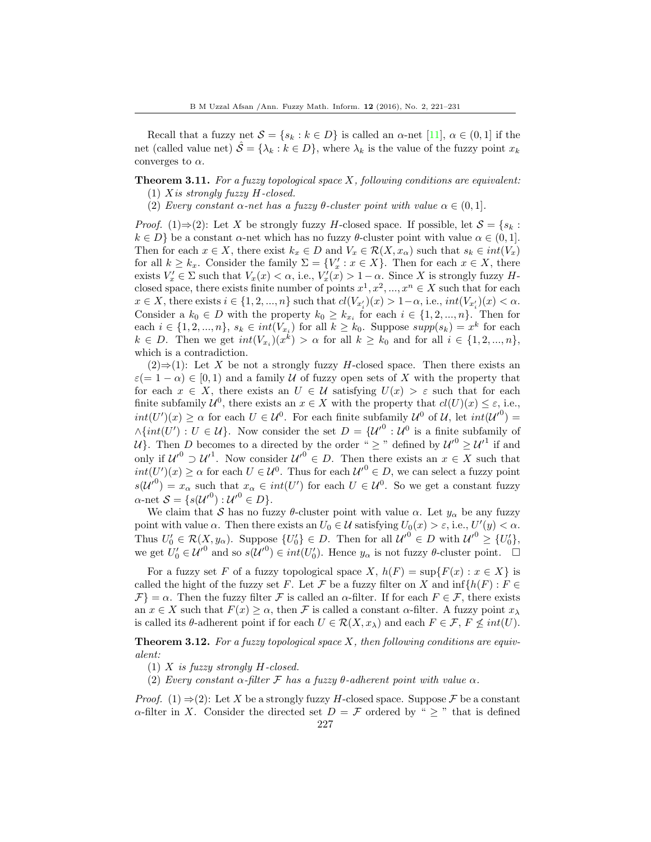Recall that a fuzzy net  $S = \{s_k : k \in D\}$  is called an  $\alpha$ -net [\[11\]](#page-10-0),  $\alpha \in (0,1]$  if the net (called value net)  $\hat{S} = {\lambda_k : k \in D}$ , where  $\lambda_k$  is the value of the fuzzy point  $x_k$ converges to  $\alpha$ .

# **Theorem 3.11.** For a fuzzy topological space  $X$ , following conditions are equivalent:

- (1) Xis strongly fuzzy H-closed.
- (2) Every constant  $\alpha$ -net has a fuzzy  $\theta$ -cluster point with value  $\alpha \in (0,1]$ .

*Proof.* (1)⇒(2): Let X be strongly fuzzy H-closed space. If possible, let  $S = \{s_k :$  $k \in D$  be a constant  $\alpha$ -net which has no fuzzy  $\theta$ -cluster point with value  $\alpha \in (0, 1]$ . Then for each  $x \in X$ , there exist  $k_x \in D$  and  $V_x \in \mathcal{R}(X, x_\alpha)$  such that  $s_k \in int(V_x)$ for all  $k \geq k_x$ . Consider the family  $\Sigma = \{V'_x : x \in X\}$ . Then for each  $x \in X$ , there exists  $V'_x \in \Sigma$  such that  $V_x(x) < \alpha$ , i.e.,  $V'_x(x) > 1 - \alpha$ . Since X is strongly fuzzy Hclosed space, there exists finite number of points  $x^1, x^2, ..., x^n \in X$  such that for each  $x \in X$ , there exists  $i \in \{1, 2, ..., n\}$  such that  $cl(V_{x_i})(x) > 1-\alpha$ , i.e.,  $int(V_{x_i})(x) < \alpha$ . Consider a  $k_0 \in D$  with the property  $k_0 \geq k_{x_i}$  for each  $i \in \{1, 2, ..., n\}$ . Then for each  $i \in \{1, 2, ..., n\}, s_k \in int(V_{x_i})$  for all  $k \geq k_0$ . Suppose  $supp(s_k) = x^k$  for each  $k \in D$ . Then we get  $int(V_{x_i})(x^k) > \alpha$  for all  $k \geq k_0$  and for all  $i \in \{1, 2, ..., n\},$ which is a contradiction.

 $(2) \Rightarrow (1)$ : Let X be not a strongly fuzzy H-closed space. Then there exists an  $\varepsilon$ (= 1 –  $\alpha$ ) ∈ [0, 1) and a family U of fuzzy open sets of X with the property that for each  $x \in X$ , there exists an  $U \in \mathcal{U}$  satisfying  $U(x) > \varepsilon$  such that for each finite subfamily  $\mathcal{U}^0$ , there exists an  $x \in X$  with the property that  $cl(U)(x) \leq \varepsilon$ , i.e.,  $int(U')(x) \ge \alpha$  for each  $U \in \mathcal{U}^0$ . For each finite subfamily  $\mathcal{U}^0$  of  $\mathcal{U}$ , let  $int(\mathcal{U}')^0$  =  $\wedge \{int(U') : U \in \mathcal{U}\}\.$  Now consider the set  $D = {\{\mathcal{U}^0 : \mathcal{U}^0\}}$  is a finite subfamily of U). Then D becomes to a directed by the order " $\geq$ " defined by  $\mathcal{U}'^0 \geq \mathcal{U}'^1$  if and only if  $\mathcal{U}'^0 \supset \mathcal{U}'^1$ . Now consider  $\mathcal{U}'^0 \in D$ . Then there exists an  $x \in X$  such that  $int(U')(x) \ge \alpha$  for each  $U \in \mathcal{U}^0$ . Thus for each  $\mathcal{U}'^0 \in D$ , we can select a fuzzy point  $s(U^{0}) = x_{\alpha}$  such that  $x_{\alpha} \in int(U')$  for each  $U \in \mathcal{U}^{0}$ . So we get a constant fuzzy  $\alpha$ -net  $\mathcal{S} = \{s(\mathcal{U}'^0) : \mathcal{U}'^0 \in D\}.$ 

We claim that S has no fuzzy θ-cluster point with value  $\alpha$ . Let  $y_{\alpha}$  be any fuzzy point with value  $\alpha$ . Then there exists an  $U_0 \in \mathcal{U}$  satisfying  $U_0(x) > \varepsilon$ , i.e.,  $U'(y) < \alpha$ . Thus  $U'_0 \in \mathcal{R}(X, y_\alpha)$ . Suppose  $\{U'_0\} \in D$ . Then for all  $\mathcal{U}'^0 \in D$  with  $\mathcal{U}'^0 \geq \{U'_0\}$ , we get  $U_0' \in {\mathcal{U}'}^0$  and so  $s({\mathcal{U}'}^0) \in int(U_0')$ . Hence  $y_\alpha$  is not fuzzy  $\theta$ -cluster point.  $\square$ 

For a fuzzy set F of a fuzzy topological space X,  $h(F) = \sup\{F(x) : x \in X\}$  is called the hight of the fuzzy set F. Let F be a fuzzy filter on X and  $\inf\{h(F): F \in$  $\mathcal{F}$  =  $\alpha$ . Then the fuzzy filter  $\mathcal F$  is called an  $\alpha$ -filter. If for each  $F \in \mathcal F$ , there exists an  $x \in X$  such that  $F(x) \geq \alpha$ , then F is called a constant  $\alpha$ -filter. A fuzzy point  $x_{\lambda}$ is called its  $\theta$ -adherent point if for each  $U \in \mathcal{R}(X, x_\lambda)$  and each  $F \in \mathcal{F}, F \nleq int(U)$ .

**Theorem 3.12.** For a fuzzy topological space  $X$ , then following conditions are equivalent:

- (1) X is fuzzy strongly  $H$ -closed.
- (2) Every constant  $\alpha$ -filter F has a fuzzy  $\theta$ -adherent point with value  $\alpha$ .

*Proof.* (1)  $\Rightarrow$  (2): Let X be a strongly fuzzy H-closed space. Suppose F be a constant  $\alpha$ -filter in X. Consider the directed set  $D = \mathcal{F}$  ordered by "  $\geq$  " that is defined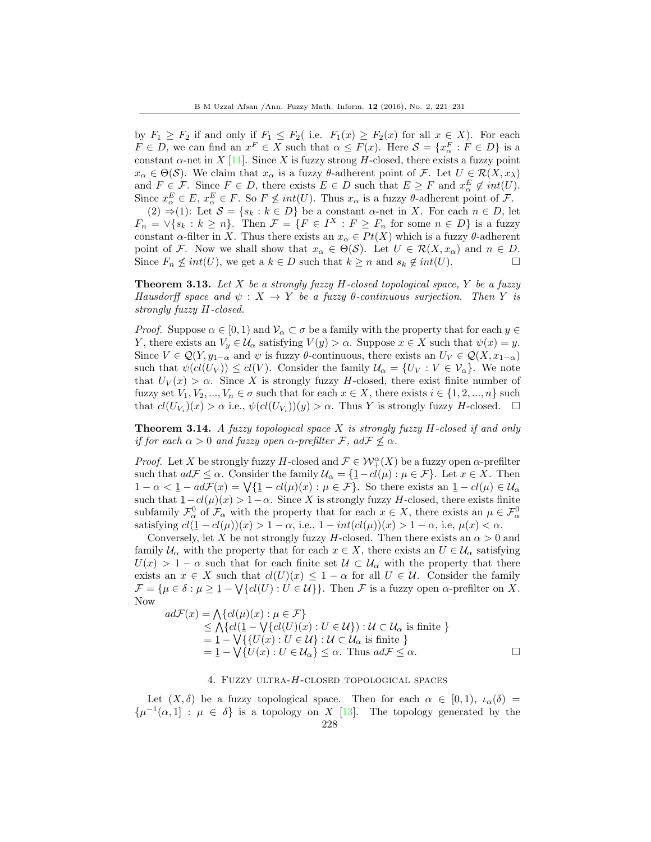by  $F_1 \geq F_2$  if and only if  $F_1 \leq F_2$  (i.e.  $F_1(x) \geq F_2(x)$  for all  $x \in X$ ). For each  $F \in D$ , we can find an  $x^F \in X$  such that  $\alpha \leq F(x)$ . Here  $S = \{x^F_\alpha : F \in D\}$  is a constant  $\alpha$ -net in X [\[11\]](#page-10-0). Since X is fuzzy strong H-closed, there exists a fuzzy point  $x_\alpha \in \Theta(\mathcal{S})$ . We claim that  $x_\alpha$  is a fuzzy  $\theta$ -adherent point of F. Let  $U \in \mathcal{R}(X, x_\lambda)$ and  $F \in \mathcal{F}$ . Since  $F \in D$ , there exists  $E \in D$  such that  $E \geq F$  and  $x_{\alpha}^{E} \notin int(U)$ . Since  $x_{\alpha}^{E} \in E$ ,  $x_{\alpha}^{E} \in F$ . So  $F \nleq int(U)$ . Thus  $x_{\alpha}$  is a fuzzy  $\theta$ -adherent point of  $\mathcal{F}$ . (2)  $\Rightarrow$  (1): Let  $S = \{s_k : k \in D\}$  be a constant  $\alpha$ -net in X. For each  $n \in D$ , let

 $F_n = \vee \{s_k : k \geq n\}.$  Then  $\mathcal{F} = \{F \in I^X : F \geq F_n \text{ for some } n \in D\}$  is a fuzzy constant  $\alpha$ -filter in X. Thus there exists an  $x_{\alpha} \in Pt(X)$  which is a fuzzy  $\theta$ -adherent point of F. Now we shall show that  $x_{\alpha} \in \Theta(\mathcal{S})$ . Let  $U \in \mathcal{R}(X, x_{\alpha})$  and  $n \in D$ . Since  $F_n \nleq int(U)$ , we get a  $k \in D$  such that  $k \geq n$  and  $s_k \notin int(U)$ .

**Theorem 3.13.** Let X be a strongly fuzzy H-closed topological space, Y be a fuzzy Hausdorff space and  $\psi : X \to Y$  be a fuzzy  $\theta$ -continuous surjection. Then Y is strongly fuzzy H-closed.

*Proof.* Suppose  $\alpha \in [0, 1)$  and  $\mathcal{V}_\alpha \subset \sigma$  be a family with the property that for each  $y \in$ Y, there exists an  $V_y \in \mathcal{U}_{\alpha}$  satisfying  $V(y) > \alpha$ . Suppose  $x \in X$  such that  $\psi(x) = y$ . Since  $V \in \mathcal{Q}(Y, y_{1-\alpha} \text{ and } \psi \text{ is fuzzy } \theta \text{-continuous, there exists an } U_V \in \mathcal{Q}(X, x_{1-\alpha})$ such that  $\psi(cl(U_V)) \le cl(V)$ . Consider the family  $\mathcal{U}_{\alpha} = \{U_V : V \in \mathcal{V}_{\alpha}\}.$  We note that  $U_V(x) > \alpha$ . Since X is strongly fuzzy H-closed, there exist finite number of fuzzy set  $V_1, V_2, ..., V_n \in \sigma$  such that for each  $x \in X$ , there exists  $i \in \{1, 2, ..., n\}$  such that  $cl(U_{V_i})(x) > \alpha$  i.e.,  $\psi(cl(U_{V_i}))(y) > \alpha$ . Thus Y is strongly fuzzy H-closed.  $\square$ 

**Theorem 3.14.** A fuzzy topological space X is strongly fuzzy  $H$ -closed if and only if for each  $\alpha > 0$  and fuzzy open  $\alpha$ -prefilter F, adF  $\nleq \alpha$ .

*Proof.* Let X be strongly fuzzy H-closed and  $\mathcal{F} \in \mathcal{W}_+^{\alpha}(X)$  be a fuzzy open  $\alpha$ -prefilter such that  $ad\mathcal{F} \leq \alpha$ . Consider the family  $\mathcal{U}_{\alpha} = \{ \underline{1} - cl(\mu) : \mu \in \mathcal{F} \}$ . Let  $x \in X$ . Then  $1 - \alpha < 1 - ad\mathcal{F}(x) = \sqrt{\{1 - cl(\mu)(x) : \mu \in \mathcal{F}\}}$ . So there exists an  $1 - cl(\mu) \in \mathcal{U}_{\alpha}$ such that  $1 - cl(\mu)(x) > 1 - \alpha$ . Since X is strongly fuzzy H-closed, there exists finite subfamily  $\mathcal{F}^0_\alpha$  of  $\mathcal{F}_\alpha$  with the property that for each  $x \in X$ , there exists an  $\mu \in \mathcal{F}^0_\alpha$ satisfying  $cl(\underline{1}-cl(\mu))(x) > 1-\alpha$ , i.e.,  $1-int(cl(\mu))(x) > 1-\alpha$ , i.e.,  $\mu(x) < \alpha$ .

Conversely, let X be not strongly fuzzy H-closed. Then there exists an  $\alpha > 0$  and family  $\mathcal{U}_{\alpha}$  with the property that for each  $x \in X$ , there exists an  $U \in \mathcal{U}_{\alpha}$  satisfying  $U(x) > 1 - \alpha$  such that for each finite set  $\mathcal{U} \subset \mathcal{U}_{\alpha}$  with the property that there exists an  $x \in X$  such that  $cl(U)(x) \leq 1 - \alpha$  for all  $U \in \mathcal{U}$ . Consider the family  $\mathcal{F} = {\mu \in \delta : \mu \geq 1 - \bigvee \{cl(U) : U \in \mathcal{U}\}}.$  Then  $\mathcal{F}$  is a fuzzy open  $\alpha$ -prefilter on X. Now

$$
ad\mathcal{F}(x) = \bigwedge \{ cl(\mu)(x) : \mu \in \mathcal{F} \}
$$
  
\n
$$
\leq \bigwedge \{ cl(1 - \bigvee \{ cl(U)(x) : U \in \mathcal{U} \} ) : \mathcal{U} \subset \mathcal{U}_{\alpha} \text{ is finite } \}
$$
  
\n
$$
= 1 - \bigvee \{ U(x) : U \in \mathcal{U}_{\alpha} \} : \mathcal{U} \subset \mathcal{U}_{\alpha} \text{ is finite } \}
$$
  
\n
$$
= 1 - \bigvee \{ U(x) : U \in \mathcal{U}_{\alpha} \} \leq \alpha. \text{ Thus } ad\mathcal{F} \leq \alpha.
$$

### 4. Fuzzy ultra-H-closed topological spaces

Let  $(X, \delta)$  be a fuzzy topological space. Then for each  $\alpha \in [0, 1)$ ,  $\iota_{\alpha}(\delta)$  $\{\mu^{-1}(\alpha,1]: \mu \in \delta\}$  is a topology on X [\[13\]](#page-10-9). The topology generated by the 228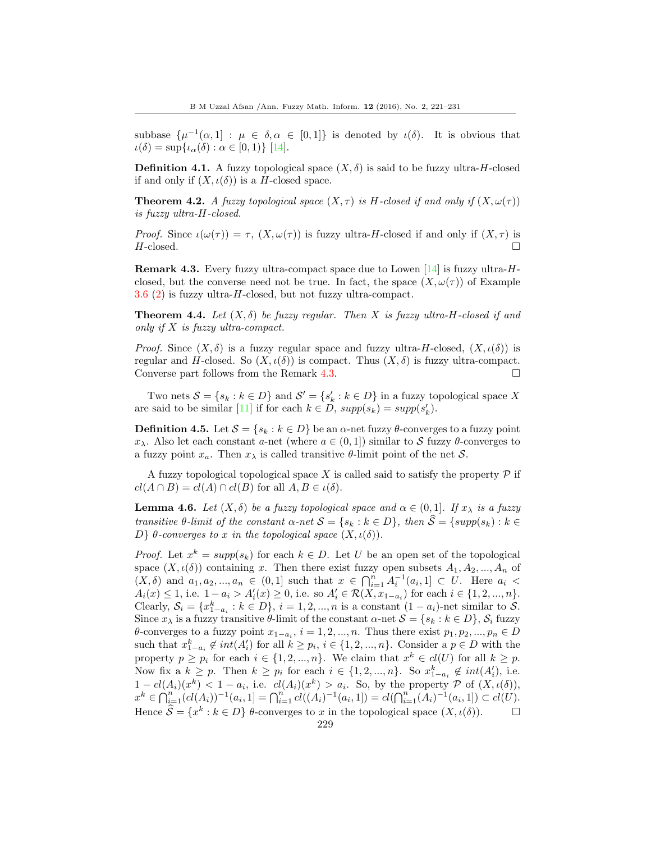subbase  $\{\mu^{-1}(\alpha,1]: \mu \in \delta, \alpha \in [0,1]\}$  is denoted by  $\iota(\delta)$ . It is obvious that  $\iota(\delta) = \sup\{\iota_{\alpha}(\delta) : \alpha \in [0,1)\}\$ [\[14\]](#page-10-1).

**Definition 4.1.** A fuzzy topological space  $(X, \delta)$  is said to be fuzzy ultra-H-closed if and only if  $(X, \iota(\delta))$  is a H-closed space.

**Theorem 4.2.** A fuzzy topological space  $(X, \tau)$  is H-closed if and only if  $(X, \omega(\tau))$ is fuzzy ultra-H-closed.

*Proof.* Since  $\iota(\omega(\tau)) = \tau$ ,  $(X, \omega(\tau))$  is fuzzy ultra-H-closed if and only if  $(X, \tau)$  is  $H$ -closed.

<span id="page-8-0"></span>**Remark 4.3.** Every fuzzy ultra-compact space due to Lowen  $[14]$  is fuzzy ultra- $H$ closed, but the converse need not be true. In fact, the space  $(X, \omega(\tau))$  of Example 3.6 (2) is fuzzy ultra-H-closed, but not fuzzy ultra-compact.

**Theorem 4.4.** Let  $(X, \delta)$  be fuzzy regular. Then X is fuzzy ultra-H-closed if and only if  $X$  is fuzzy ultra-compact.

*Proof.* Since  $(X, \delta)$  is a fuzzy regular space and fuzzy ultra-H-closed,  $(X, \iota(\delta))$  is regular and H-closed. So  $(X, \iota(\delta))$  is compact. Thus  $(X, \delta)$  is fuzzy ultra-compact. Converse part follows from the Remark [4.3.](#page-8-0)

Two nets  $S = \{s_k : k \in D\}$  and  $S' = \{s'_k : k \in D\}$  in a fuzzy topological space X are said to be similar [\[11\]](#page-10-0) if for each  $k \in D$ ,  $supp(s_k) = supp(s'_k)$ .

**Definition 4.5.** Let  $S = \{s_k : k \in D\}$  be an  $\alpha$ -net fuzzy  $\theta$ -converges to a fuzzy point  $x_\lambda$ . Also let each constant a-net (where  $a \in (0,1]$ ) similar to S fuzzy  $\theta$ -converges to a fuzzy point  $x_a$ . Then  $x_{\lambda}$  is called transitive  $\theta$ -limit point of the net S.

A fuzzy topological topological space X is called said to satisfy the property  $\mathcal P$  if  $cl(A \cap B) = cl(A) \cap cl(B)$  for all  $A, B \in \iota(\delta)$ .

<span id="page-8-1"></span>**Lemma 4.6.** Let  $(X, \delta)$  be a fuzzy topological space and  $\alpha \in (0, 1]$ . If  $x_{\lambda}$  is a fuzzy transitive  $\theta$ -limit of the constant  $\alpha$ -net  $S = \{s_k : k \in D\}$ , then  $\widehat{S} = \{supp(s_k) : k \in$ D} θ-converges to x in the topological space  $(X, \iota(\delta))$ .

*Proof.* Let  $x^k = supp(s_k)$  for each  $k \in D$ . Let U be an open set of the topological space  $(X, \iota(\delta))$  containing x. Then there exist fuzzy open subsets  $A_1, A_2, ..., A_n$  of  $(X, \delta)$  and  $a_1, a_2, ..., a_n \in (0, 1]$  such that  $x \in \bigcap_{i=1}^n A_i^{-1}(a_i, 1] \subset U$ . Here  $a_i$  $A_i(x) \leq 1$ , i.e.  $1 - a_i > A'_i(x) \geq 0$ , i.e. so  $A'_i \in \mathcal{R}(X, x_{1-a_i})$  for each  $i \in \{1, 2, ..., n\}$ . Clearly,  $S_i = \{x_{1-a_i}^k : k \in D\}$ ,  $i = 1, 2, ..., n$  is a constant  $(1 - a_i)$ -net similar to S. Since  $x_{\lambda}$  is a fuzzy transitive  $\theta$ -limit of the constant  $\alpha$ -net  $\mathcal{S} = \{s_k : k \in D\}$ ,  $\mathcal{S}_i$  fuzzy  $\theta$ -converges to a fuzzy point  $x_{1-a_i}$ ,  $i = 1, 2, ..., n$ . Thus there exist  $p_1, p_2, ..., p_n \in D$ such that  $x_{1-a_i}^k \notin int(A'_i)$  for all  $k \geq p_i$ ,  $i \in \{1, 2, ..., n\}$ . Consider a  $p \in D$  with the property  $p \geq p_i$  for each  $i \in \{1, 2, ..., n\}$ . We claim that  $x^k \in cl(U)$  for all  $k \geq p$ . Now fix a  $k \geq p$ . Then  $k \geq p_i$  for each  $i \in \{1, 2, ..., n\}$ . So  $x_{1-a_i}^k \notin int(A'_i)$ , i.e.  $1-cl(A_i)(x^k) < 1-a_i$ , i.e.  $cl(A_i)(x^k) > a_i$ . So, by the property  $P$  of  $(X, \iota(\delta)),$  $x^k \in \bigcap_{i=1}^n (cl(A_i))^{-1}(a_i, 1] = \bigcap_{i=1}^n cl((A_i)^{-1}(a_i, 1]) = cl(\bigcap_{i=1}^n (A_i)^{-1}(a_i, 1]) \subset cl(U).$ Hence  $\widehat{S} = \{x^k : k \in D\}$   $\theta$ -converges to x in the topological space  $(X, \iota(\delta))$ .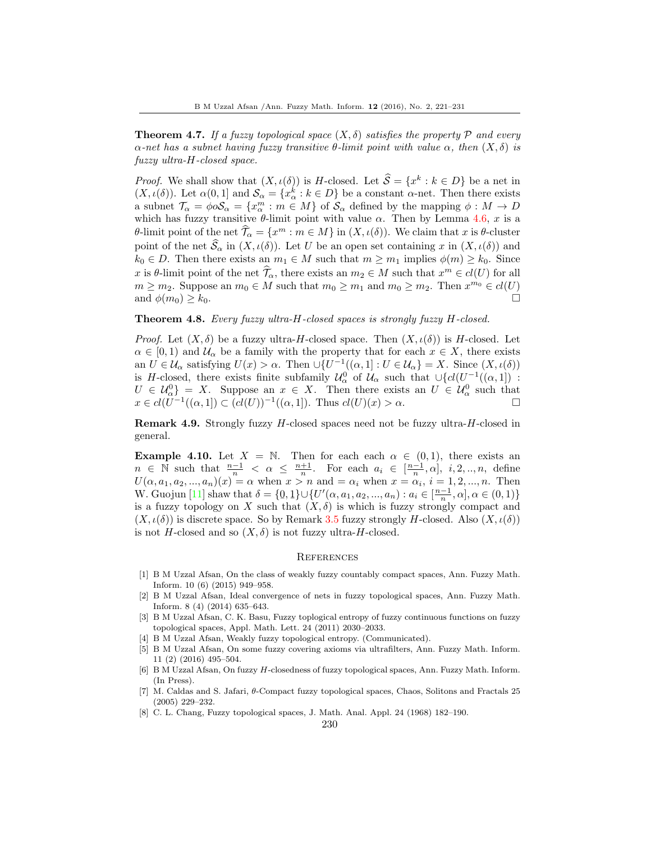**Theorem 4.7.** If a fuzzy topological space  $(X, \delta)$  satisfies the property P and every  $\alpha$ -net has a subnet having fuzzy transitive  $\theta$ -limit point with value  $\alpha$ , then  $(X, \delta)$  is fuzzy ultra-H-closed space.

*Proof.* We shall show that  $(X, \iota(\delta))$  is H-closed. Let  $\widehat{S} = \{x^k : k \in D\}$  be a net in  $(X, \iota(\delta))$ . Let  $\alpha(0, 1]$  and  $\mathcal{S}_{\alpha} = \{x_{\alpha}^k : k \in D\}$  be a constant  $\alpha$ -net. Then there exists a subnet  $\mathcal{T}_{\alpha} = \phi \circ \mathcal{S}_{\alpha} = \{x_{\alpha}^m : m \in M\}$  of  $\mathcal{S}_{\alpha}$  defined by the mapping  $\phi : M \to D$ which has fuzzy transitive  $\theta$ -limit point with value  $\alpha$ . Then by Lemma [4.6,](#page-8-1) x is a θ-limit point of the net  $\widehat{\mathcal{T}}_{\alpha} = \{x^m : m \in M\}$  in  $(X, \iota(\delta))$ . We claim that x is θ-cluster point of the net  $\widehat{S}_{\alpha}$  in  $(X, \iota(\delta))$ . Let U be an open set containing x in  $(X, \iota(\delta))$  and  $k_0 \in D$ . Then there exists an  $m_1 \in M$  such that  $m \geq m_1$  implies  $\phi(m) \geq k_0$ . Since x is  $\theta$ -limit point of the net  $\widehat{\mathcal{T}}_{\alpha}$ , there exists an  $m_2 \in M$  such that  $x^m \in cl(U)$  for all  $m \geq m_2$ . Suppose an  $m_0 \in M$  such that  $m_0 \geq m_1$  and  $m_0 \geq m_2$ . Then  $x^{m_0} \in cl(U)$ and  $\phi(m_0) \geq k_0$ .

### Theorem 4.8. Every fuzzy ultra-H-closed spaces is strongly fuzzy H-closed.

*Proof.* Let  $(X, \delta)$  be a fuzzy ultra-H-closed space. Then  $(X, \iota(\delta))$  is H-closed. Let  $\alpha \in [0,1)$  and  $\mathcal{U}_{\alpha}$  be a family with the property that for each  $x \in X$ , there exists an  $U \in \mathcal{U}_{\alpha}$  satisfying  $U(x) > \alpha$ . Then  $\cup \{U^{-1}((\alpha, 1]: U \in \mathcal{U}_{\alpha}\}=X$ . Since  $(X, \iota(\delta))$ is H-closed, there exists finite subfamily  $\mathcal{U}_{\alpha}^0$  of  $\mathcal{U}_{\alpha}$  such that  $\cup \{cl(U^{-1}((\alpha,1])$ :  $U \in \mathcal{U}_{\alpha}^{0}$  = X. Suppose an  $x \in X$ . Then there exists an  $U \in \mathcal{U}_{\alpha}^{0}$  such that  $x \in cl(\tilde{U}^{-1}((\alpha, 1]) \subset \tilde{(cl(U))^{-1}((\alpha, 1])}$ . Thus  $cl(U)(x) > \alpha$ .

Remark 4.9. Strongly fuzzy H-closed spaces need not be fuzzy ultra-H-closed in general.

**Example 4.10.** Let  $X = \mathbb{N}$ . Then for each each  $\alpha \in (0,1)$ , there exists an  $n \in \mathbb{N}$  such that  $\frac{n-1}{n} < \alpha \leq \frac{n+1}{n}$ . For each  $a_i \in [\frac{n-1}{n}, \alpha]$ , i, 2, ..., *n*, define  $U(\alpha, a_1, a_2, \ldots, a_n)(x) = \alpha$  when  $x > n$  and  $= \alpha_i$  when  $x = \alpha_i$ ,  $i = 1, 2, \ldots, n$ . Then W. Guojun [\[11\]](#page-10-0) shaw that  $\delta = \{0, 1\} \cup \{U'(\alpha, a_1, a_2, ..., a_n) : a_i \in [\frac{n-1}{n}, \alpha], \alpha \in (0, 1)\}\$ is a fuzzy topology on X such that  $(X, \delta)$  is which is fuzzy strongly compact and  $(X, \iota(\delta))$  is discrete space. So by Remark [3.5](#page-4-1) fuzzy strongly H-closed. Also  $(X, \iota(\delta))$ is not H-closed and so  $(X, \delta)$  is not fuzzy ultra-H-closed.

#### **REFERENCES**

- <span id="page-9-1"></span>[1] B M Uzzal Afsan, On the class of weakly fuzzy countably compact spaces, Ann. Fuzzy Math. Inform. 10 (6) (2015) 949–958.
- <span id="page-9-2"></span>[2] B M Uzzal Afsan, Ideal convergence of nets in fuzzy topological spaces, Ann. Fuzzy Math. Inform. 8 (4) (2014) 635–643.
- <span id="page-9-3"></span>[3] B M Uzzal Afsan, C. K. Basu, Fuzzy toplogical entropy of fuzzy continuous functions on fuzzy topological spaces, Appl. Math. Lett. 24 (2011) 2030–2033.
- <span id="page-9-4"></span>[4] B M Uzzal Afsan, Weakly fuzzy topological entropy. (Communicated).
- <span id="page-9-5"></span>[5] B M Uzzal Afsan, On some fuzzy covering axioms via ultrafilters, Ann. Fuzzy Math. Inform. 11 (2) (2016) 495–504.
- <span id="page-9-0"></span>[6] B M Uzzal Afsan, On fuzzy H-closedness of fuzzy topological spaces, Ann. Fuzzy Math. Inform. (In Press).
- <span id="page-9-6"></span>[7] M. Caldas and S. Jafari, θ-Compact fuzzy topological spaces, Chaos, Solitons and Fractals 25 (2005) 229–232.
- <span id="page-9-7"></span>[8] C. L. Chang, Fuzzy topological spaces, J. Math. Anal. Appl. 24 (1968) 182–190.